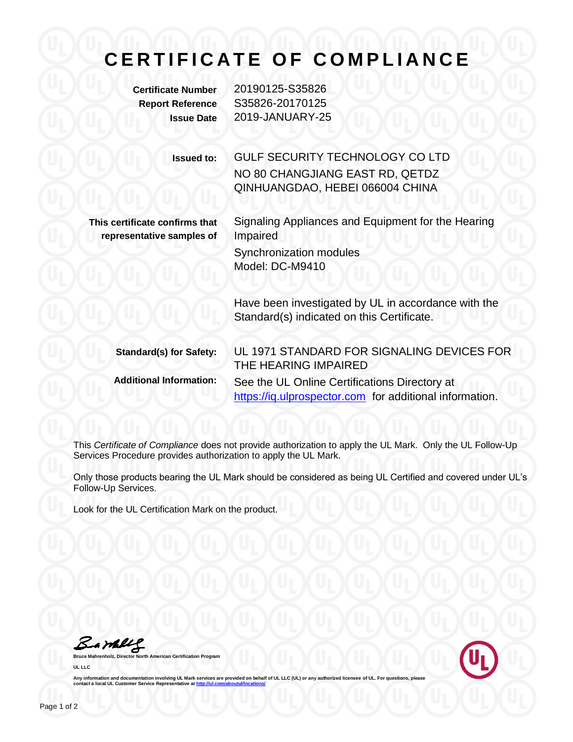## **C E R T I F I C A T E O F C O M P L I A N C E**

**Certificate Number** 20190125-S35826 **Report Reference** S35826-20170125 **Issue Date** 2019-JANUARY-25

> **Issued to:** GULF SECURITY TECHNOLOGY CO LTD NO 80 CHANGJIANG EAST RD, QETDZ QINHUANGDAO, HEBEI 066004 CHINA

**This certificate confirms that representative samples of** Signaling Appliances and Equipment for the Hearing Impaired Synchronization modules

Model: DC-M9410

Have been investigated by UL in accordance with the Standard(s) indicated on this Certificate.

**Standard(s) for Safety:** UL 1971 STANDARD FOR SIGNALING DEVICES FOR THE HEARING IMPAIRED **Additional Information:** See the UL Online Certifications Directory at https://iq.ulprospector.com for additional information.

This *Certificate of Compliance* does not provide authorization to apply the UL Mark. Only the UL Follow-Up Services Procedure provides authorization to apply the UL Mark.

Only those products bearing the UL Mark should be considered as being UL Certified and covered under UL's Follow-Up Services.

Look for the UL Certification Mark on the product.

Bambles

**Bruce Mahrenholz, Director North American Certification Program UL LLC**



Any information and documentation involving UL Mark services are provided on behalf of UL LLC (UL) or any authorized licensee of UL. For questions, please<br>contact a local UL Customer Service Representative at <u>http://ul.co</u>